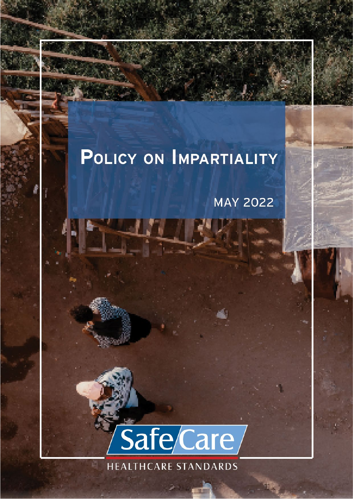# POLICY ON IMPARTIALITY

**Documents number** *QA-GEN-008* **Effective date** *05-05-2022*

**Document type** *Policy* **Version** *2.0*

**Document title** *Policy on Impartiality*

**MAY 2022** 

Page **1** of **7**

**Next Review date** *May 2024*



**HEALTHCARE STANDARDS** 

调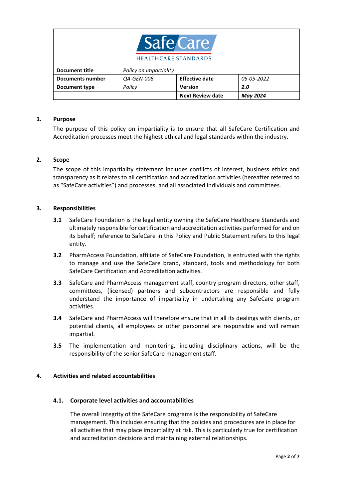

| Document title          | Policy on Impartiality   |                         |            |
|-------------------------|--------------------------|-------------------------|------------|
| <b>Documents number</b> | <i><b>QA-GEN-008</b></i> | <b>Effective date</b>   | 05-05-2022 |
| Document type           | Policy                   | <b>Version</b>          | 2.0        |
|                         |                          | <b>Next Review date</b> | Mav 2024   |

#### **1. Purpose**

The purpose of this policy on impartiality is to ensure that all SafeCare Certification and Accreditation processes meet the highest ethical and legal standards within the industry.

## **2. Scope**

The scope of this impartiality statement includes conflicts of interest, business ethics and transparency as it relates to all certification and accreditation activities (hereafter referred to as "SafeCare activities") and processes, and all associated individuals and committees.

#### **3. Responsibilities**

- **3.1** SafeCare Foundation is the legal entity owning the SafeCare Healthcare Standards and ultimately responsible for certification and accreditation activities performed for and on its behalf; reference to SafeCare in this Policy and Public Statement refers to this legal entity.
- **3.2** PharmAccess Foundation, affiliate of SafeCare Foundation, is entrusted with the rights to manage and use the SafeCare brand, standard, tools and methodology for both SafeCare Certification and Accreditation activities.
- **3.3** SafeCare and PharmAccess management staff, country program directors, other staff, committees, (licensed) partners and subcontractors are responsible and fully understand the importance of impartiality in undertaking any SafeCare program activities.
- **3.4** SafeCare and PharmAccess will therefore ensure that in all its dealings with clients, or potential clients, all employees or other personnel are responsible and will remain impartial.
- **3.5** The implementation and monitoring, including disciplinary actions, will be the responsibility of the senior SafeCare management staff.

## **4. Activities and related accountabilities**

#### **4.1. Corporate level activities and accountabilities**

The overall integrity of the SafeCare programs is the responsibility of SafeCare management. This includes ensuring that the policies and procedures are in place for all activities that may place impartiality at risk. This is particularly true for certification and accreditation decisions and maintaining external relationships.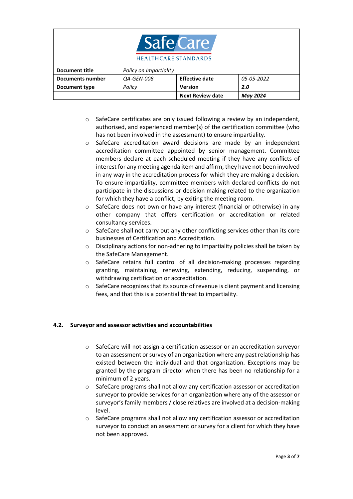

| Document title   | Policy on Impartiality   |                         |            |
|------------------|--------------------------|-------------------------|------------|
| Documents number | <i><b>QA-GEN-008</b></i> | <b>Effective date</b>   | 05-05-2022 |
| Document type    | Policy                   | <b>Version</b>          | 2.0        |
|                  |                          | <b>Next Review date</b> | May 2024   |

- o SafeCare certificates are only issued following a review by an independent, authorised, and experienced member(s) of the certification committee (who has not been involved in the assessment) to ensure impartiality.
- o SafeCare accreditation award decisions are made by an independent accreditation committee appointed by senior management. Committee members declare at each scheduled meeting if they have any conflicts of interest for any meeting agenda item and affirm, they have not been involved in any way in the accreditation process for which they are making a decision. To ensure impartiality, committee members with declared conflicts do not participate in the discussions or decision making related to the organization for which they have a conflict, by exiting the meeting room.
- o SafeCare does not own or have any interest (financial or otherwise) in any other company that offers certification or accreditation or related consultancy services.
- $\circ$  SafeCare shall not carry out any other conflicting services other than its core businesses of Certification and Accreditation.
- o Disciplinary actions for non-adhering to impartiality policies shall be taken by the SafeCare Management.
- o SafeCare retains full control of all decision-making processes regarding granting, maintaining, renewing, extending, reducing, suspending, or withdrawing certification or accreditation.
- o SafeCare recognizes that its source of revenue is client payment and licensing fees, and that this is a potential threat to impartiality.

## **4.2. Surveyor and assessor activities and accountabilities**

- o SafeCare will not assign a certification assessor or an accreditation surveyor to an assessment or survey of an organization where any past relationship has existed between the individual and that organization. Exceptions may be granted by the program director when there has been no relationship for a minimum of 2 years.
- o SafeCare programs shall not allow any certification assessor or accreditation surveyor to provide services for an organization where any of the assessor or surveyor's family members / close relatives are involved at a decision-making level.
- o SafeCare programs shall not allow any certification assessor or accreditation surveyor to conduct an assessment or survey for a client for which they have not been approved.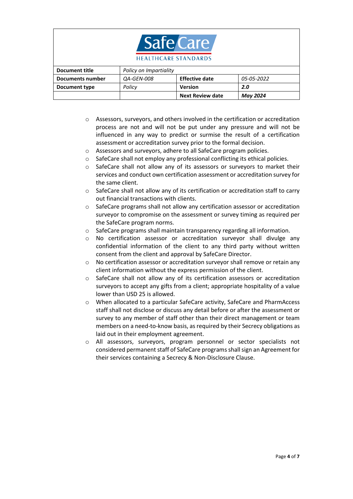

| Document title   | Policy on Impartiality   |                         |            |
|------------------|--------------------------|-------------------------|------------|
| Documents number | <i><b>QA-GEN-008</b></i> | <b>Effective date</b>   | 05-05-2022 |
| Document type    | Policy                   | Version                 | 2.0        |
|                  |                          | <b>Next Review date</b> | May 2024   |

- o Assessors, surveyors, and others involved in the certification or accreditation process are not and will not be put under any pressure and will not be influenced in any way to predict or surmise the result of a certification assessment or accreditation survey prior to the formal decision.
- o Assessors and surveyors, adhere to all SafeCare program policies.
- o SafeCare shall not employ any professional conflicting its ethical policies.
- o SafeCare shall not allow any of its assessors or surveyors to market their services and conduct own certification assessment or accreditation survey for the same client.
- o SafeCare shall not allow any of its certification or accreditation staff to carry out financial transactions with clients.
- o SafeCare programs shall not allow any certification assessor or accreditation surveyor to compromise on the assessment or survey timing as required per the SafeCare program norms.
- o SafeCare programs shall maintain transparency regarding all information.
- o No certification assessor or accreditation surveyor shall divulge any confidential information of the client to any third party without written consent from the client and approval by SafeCare Director.
- o No certification assessor or accreditation surveyor shall remove or retain any client information without the express permission of the client.
- o SafeCare shall not allow any of its certification assessors or accreditation surveyors to accept any gifts from a client; appropriate hospitality of a value lower than USD 25 is allowed.
- o When allocated to a particular SafeCare activity, SafeCare and PharmAccess staff shall not disclose or discuss any detail before or after the assessment or survey to any member of staff other than their direct management or team members on a need-to-know basis, as required by their Secrecy obligations as laid out in their employment agreement.
- o All assessors, surveyors, program personnel or sector specialists not considered permanent staff of SafeCare programsshall sign an Agreement for their services containing a Secrecy & Non-Disclosure Clause.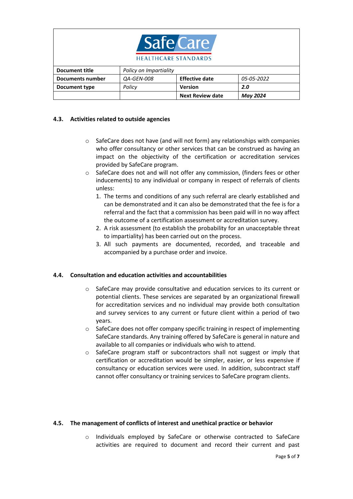| Safe Care<br><b>HEALTHCARE STANDARDS</b> |                          |                         |                 |
|------------------------------------------|--------------------------|-------------------------|-----------------|
| <b>Document title</b>                    | Policy on Impartiality   |                         |                 |
| <b>Documents number</b>                  | <i><b>QA-GEN-008</b></i> | <b>Effective date</b>   | 05-05-2022      |
| Document type                            | Policy                   | <b>Version</b>          | 2.0             |
|                                          |                          | <b>Next Review date</b> | <b>May 2024</b> |

## **4.3. Activities related to outside agencies**

- $\circ$  SafeCare does not have (and will not form) any relationships with companies who offer consultancy or other services that can be construed as having an impact on the objectivity of the certification or accreditation services provided by SafeCare program.
- o SafeCare does not and will not offer any commission, (finders fees or other inducements) to any individual or company in respect of referrals of clients unless:
	- 1. The terms and conditions of any such referral are clearly established and can be demonstrated and it can also be demonstrated that the fee is for a referral and the fact that a commission has been paid will in no way affect the outcome of a certification assessment or accreditation survey.
	- 2. A risk assessment (to establish the probability for an unacceptable threat to impartiality) has been carried out on the process.
	- 3. All such payments are documented, recorded, and traceable and accompanied by a purchase order and invoice.

## **4.4. Consultation and education activities and accountabilities**

- o SafeCare may provide consultative and education services to its current or potential clients. These services are separated by an organizational firewall for accreditation services and no individual may provide both consultation and survey services to any current or future client within a period of two years.
- $\circ$  SafeCare does not offer company specific training in respect of implementing SafeCare standards. Any training offered by SafeCare is general in nature and available to all companies or individuals who wish to attend.
- o SafeCare program staff or subcontractors shall not suggest or imply that certification or accreditation would be simpler, easier, or less expensive if consultancy or education services were used. In addition, subcontract staff cannot offer consultancy or training services to SafeCare program clients.

## **4.5. The management of conflicts of interest and unethical practice or behavior**

o Individuals employed by SafeCare or otherwise contracted to SafeCare activities are required to document and record their current and past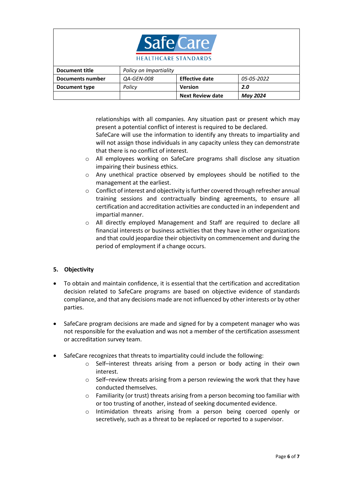

| Document title   | Policy on Impartiality   |                         |            |
|------------------|--------------------------|-------------------------|------------|
| Documents number | <i><b>QA-GEN-008</b></i> | <b>Effective date</b>   | 05-05-2022 |
| Document type    | Policy                   | <b>Version</b>          | 2.0        |
|                  |                          | <b>Next Review date</b> | May 2024   |

relationships with all companies. Any situation past or present which may present a potential conflict of interest is required to be declared.

SafeCare will use the information to identify any threats to impartiality and will not assign those individuals in any capacity unless they can demonstrate that there is no conflict of interest.

- o All employees working on SafeCare programs shall disclose any situation impairing their business ethics.
- o Any unethical practice observed by employees should be notified to the management at the earliest.
- o Conflict of interest and objectivity is further covered through refresher annual training sessions and contractually binding agreements, to ensure all certification and accreditation activities are conducted in an independent and impartial manner.
- o All directly employed Management and Staff are required to declare all financial interests or business activities that they have in other organizations and that could jeopardize their objectivity on commencement and during the period of employment if a change occurs.

## **5. Objectivity**

- To obtain and maintain confidence, it is essential that the certification and accreditation decision related to SafeCare programs are based on objective evidence of standards compliance, and that any decisions made are not influenced by other interests or by other parties.
- SafeCare program decisions are made and signed for by a competent manager who was not responsible for the evaluation and was not a member of the certification assessment or accreditation survey team.
- SafeCare recognizes that threats to impartiality could include the following:
	- o Self–interest threats arising from a person or body acting in their own interest.
	- o Self–review threats arising from a person reviewing the work that they have conducted themselves.
	- o Familiarity (or trust) threats arising from a person becoming too familiar with or too trusting of another, instead of seeking documented evidence.
	- o Intimidation threats arising from a person being coerced openly or secretively, such as a threat to be replaced or reported to a supervisor.